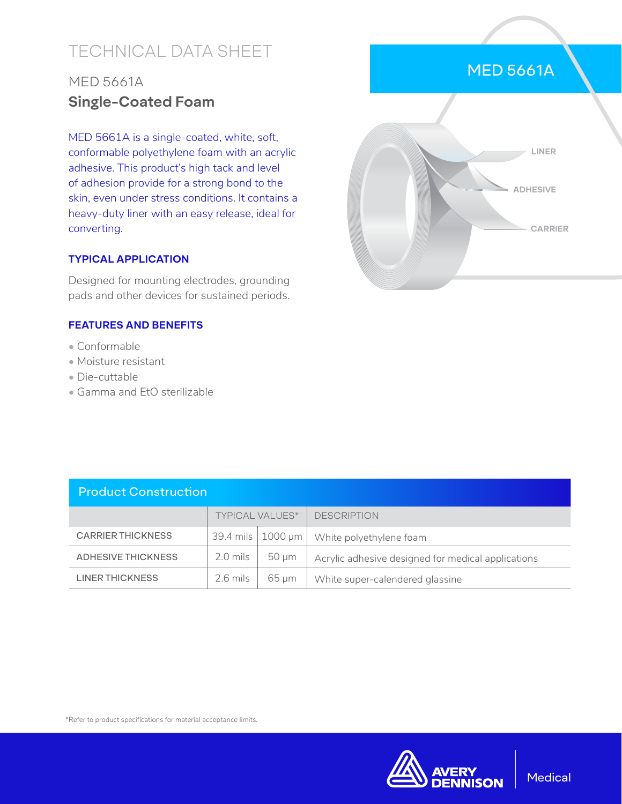# TECHNICAL DATA SHEET

## MED 5661A **Single-Coated Foam**

MED 5661A is a single-coated, white, soft, conformable polyethylene foam with an acrylic adhesive. This product's high tack and level of adhesion provide for a strong bond to the skin, even under stress conditions. It contains a heavy-duty liner with an easy release, ideal for converting.

## **TYPICAL APPLICATION**

Designed for mounting electrodes, grounding pads and other devices for sustained periods.

## **FEATURES AND BENEFITS**

- Conformable
- Moisture resistant
- Die-cuttable
- Gamma and EtO sterilizable

| <b>Product Construction</b> |                        |                         |                                                    |  |  |  |
|-----------------------------|------------------------|-------------------------|----------------------------------------------------|--|--|--|
|                             | <b>TYPICAL VALUES*</b> |                         | <b>DESCRIPTION</b>                                 |  |  |  |
| <b>CARRIER THICKNESS</b>    | 39.4 mils              | $\vert$ 1000 µm $\vert$ | White polyethylene foam                            |  |  |  |
| <b>ADHESIVE THICKNESS</b>   | $2.0$ mils             | $50 \mu m$              | Acrylic adhesive designed for medical applications |  |  |  |
| <b>LINER THICKNESS</b>      | $2.6$ mils             | 65 um                   | White super-calendered glassine                    |  |  |  |

# MED 5661A